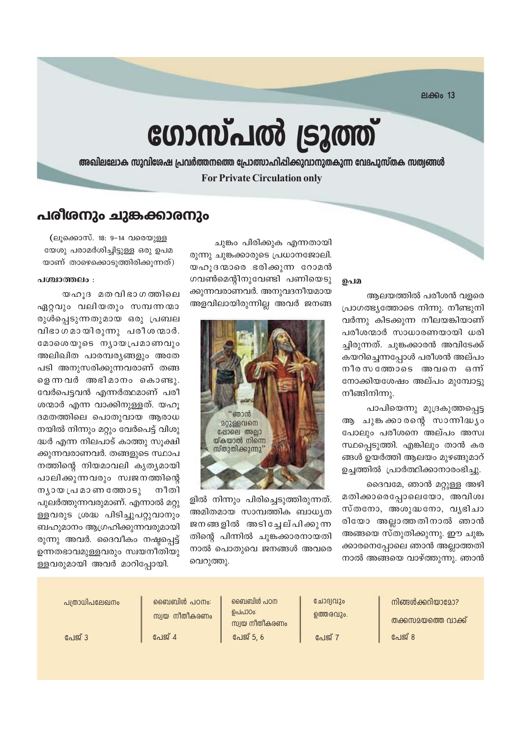**ലക്കം 13** 

# ഗോസ്പൽ ട്രൂത്ത്

അഖിലലോക സുവിശേഷ പ്രവർത്തനത്തെ പ്രോത്സാഹിപ്പിക്കുവാനുതകുന്ന വേദപുസ്തക സത്വങ്ങൾ **For Private Circulation only** 

### പരീരനും ചുങ്കക്കാരനും

(ലൂക്കൊസ്. 18: 9-14 വരെയുള്ള യേശു പരാമർശിച്ചിട്ടുള്ള ഒരു ഉപമ യാണ് താഴെക്കൊടുത്തിരിക്കുന്നത്)

#### പശ്ചാത്തലം :

യഹൂദ മതവിഭാഗത്തിലെ ഏറ്റവും വലിയതും സമ്പന്നന്മാ രുൾപ്പെടുന്നതുമായ ഒരു പ്രബല വിഭാഗമായിരുന്നു പരീശന്മാർ. മോശെയുടെ നൃായപ്രമാണവും അലിഖിത പാരമ്പര്യങ്ങളും അതേ പടി അനുസരിക്കുന്നവരാണ് തങ്ങ ളെന്നവർ അഭിമാനം കൊണ്ടു. വേർപെട്ടവൻ എന്നർത്ഥമാണ് പരീ ശന്മാർ എന്ന വാക്കിനുള്ളത്. യഹു ദമതത്തിലെ പൊതുവായ ആരാധ നയിൽ നിന്നും മറ്റും വേർപെട്ട് വിശു ദ്ധർ എന്ന നിലപാട് കാത്തു സുക്ഷി ക്കുന്നവരാണവർ. തങ്ങളുടെ സ്ഥാപ നത്തിന്റെ നിയമാവലി കൃത്യമായി പാലിക്കുന്നവരും സ്വജനത്തിന്റെ നീതി  $m_1$ o  $m_2$  (al  $a$ o  $m_3$   $m_3$ o  $n_2$ പുലർത്തുന്നവരുമാണ്. എന്നാൽ മറ്റു ള്ളവരുട ശ്രദ്ധ പിടിച്ചുപറ്റുവാനും ബഹുമാനം ആഗ്രഹിക്കുന്നവരുമായി രുന്നു അവർ. ദൈവീകം നഷ്ടപ്പെട്ട് ഉന്നതഭാവമുള്ളവരും സ്വയനീതിയു

ചുങ്കം പിരിക്കുക എന്നതായി രുന്നു ചുങ്കക്കാരുടെ പ്രധാനജോലി. യഹൂദന്മാരെ ഭരിക്കുന്ന റോമൻ ഗവൺമെന്റിനുവേണ്ടി പണിയെടു ക്കുന്നവരാണവർ. അനുവദനീയമായ അളവിലായിരുന്നില്ല അവർ ജനങ്ങ



ളിൽ നിന്നും പിരിച്ചെടുത്തിരുന്നത്. അമിതമായ സാമ്പത്തിക ബാധൃത ജനങ്ങളിൽ അടിച്ചേല്പിക്കുന്ന തിന്റെ പിന്നിൽ ചുങ്കക്കാരനായതി നാൽ പൊതുവെ ജനങ്ങൾ അവരെ വെറുത്തു.

#### ഉപമ

ആലയത്തിൽ പരീശൻ വളരെ പ്രാഗത്ഭ്യത്തോടെ നിന്നു. നീണ്ടുനി വർന്നു കിടക്കുന്ന നീലയങ്കിയാണ് പരീശന്മാർ സാധാരണയായി ധരി ച്ചിരുന്നത്. ചുങ്കക്കാരൻ അവിടേക്ക് കയറിച്ചെന്നപ്പോൾ പരീശൻ അല്പം നീരസത്തോടെ അവനെ ഒന് നോക്കിയശേഷം അല്പം മുമ്പോടു നീങ്ങിനിന്നു.

പാപിയെന്നു മുദ്രകുത്തപ്പെട്ട ആ ചുങ്കക്കാരന്റെ സാന്നിദ്ധ്യം പോലും പരീശനെ അല്പം അസ്വ സ്ഥപ്പെടുത്തി. എങ്കിലും താൻ കര ങ്ങൾ ഉയർത്തി ആലയം മുഴങ്ങുമാറ് ഉച്ചത്തിൽ പ്രാർത്ഥിക്കാനാരംഭിച്ചു.

ദൈവമേ, ഞാൻ മറ്റുള്ള അഴി മതിക്കാരെപ്പോലെയോ, അവിശ്വ സ്തനോ, അശുദ്ധനോ, വൃഭിചാ രിയോ അല്ലാത്തതിനാൽ ഞാൻ അങ്ങയെ സ്തുതിക്കുന്നു. ഈ ചുങ്ക ക്കാരനെപ്പോലെ ഞാൻ അല്ലാത്തതി നാൽ അങ്ങയെ വാഴ്ത്തുന്നു. ഞാൻ

ള്ളവരുമായി അവർ മാറിപ്പോയി.

| പത്രാധിപലേഖനം | ഞൈബിൾ പഠനം:<br>സ്വയ നീതീകരണം | ബൈബിൾ പഠന<br>ഉപപാഠം:<br>സ്വയ നീതീകരണം | ചോദ്വവും<br>ഉത്തരവും. | നിങ്ങൾക്കറിയാമോ?<br>തക്കസമയത്തെ വാക്ക് |
|---------------|------------------------------|---------------------------------------|-----------------------|----------------------------------------|
| പേജ് 3        | പേജ് 4                       | പേജ് 5, 6                             | പേജ് 7                | പേജ് 8                                 |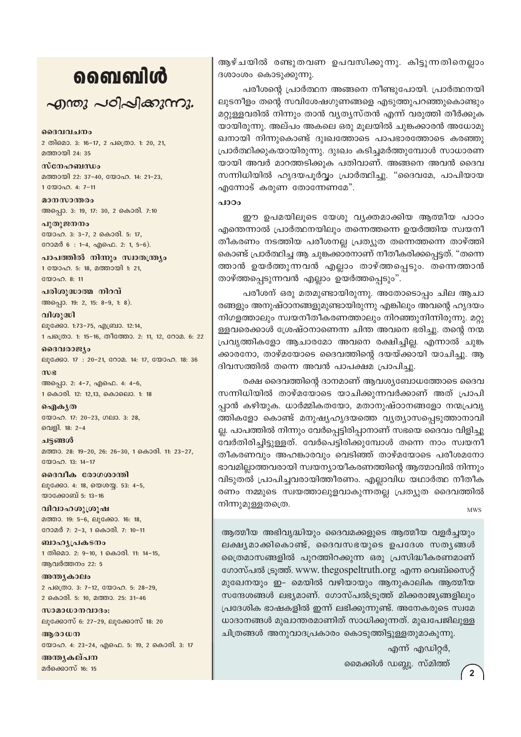## வைவிൾ

 $\sim$ றாறை പഠിപ്പിക്കുന്നു.

ദൈവവചനം 2 തിമൊ. 3: 16-17, 2 പത്രൊ. 1: 20, 21, മത്തായി 24: 35

സ്നേഹബന്ധം മത്തായി 22: 37-40, യോഹ. 14: 21-23, 1 0000 0.4: 7-11

മാനസാന്തരം അപ്പൊ. 3: 19, 17: 30, 2 കൊരി. 7:10

പുതുജനനം യോഹ. 3: 3-7, 2 കൊരി. 5: 17, റോമർ 6: 1-4, എഫെ. 2: 1, 5-6).

പാപത്തിൽ നിന്നും സ്വാതന്ത്ര്യം 1 യോഹ. 5: 18, മത്തായി 1: 21,  $2000000811$ 

പരിശുദ്ധാത്മ നിറവ് അപ്പൊ. 19: 2, 15: 8-9, 1: 8).

വിശുദ്ധി ലൂക്കോ. 1:73-75, എബ്രാ. 12:14, 1 പക്രൊ. 1: 15-16, തീത്തോ. 2: 11, 12, റോമ. 6: 22

ദൈവരാജ്യം ലൂക്കോ. 17: 20-21, റോമ. 14: 17, യോഹ. 18: 36  $m$  $g$ 

അപ്പൊ. 2: 4-7, എഫെ. 4: 4-6, 1 കൊരി. 12: 12,13, കൊലൊ. 1: 18

ഐകൃത യോഹ. 17: 20-23, ഗലാ. 3: 28, വെളി. 18: 2-4

ചട്ടങ്ങൾ മത്താ. 28: 19-20, 26: 26-30, 1 കൊരി. 11: 23-27, യോഹ. 13: 14-17

ദൈവീക രോഗശാന്തി ലൂക്കോ. 4: 18, യെശയ്യ. 53: 4-5, യാക്കോബ് 5: 13-16

വിവാഹശുശ്രൂഷ മത്താ. 19: 5-6, ലൂക്കോ. 16: 18, റോമർ 7: 2-3, 1 കൊരി. 7: 10-11

ബാഹ്യപ്രകടനം 1 തിമൊ. 2: 9-10, 1 കൊരി. 11: 14-15, ആവർത്തനം 22: 5

അന്ത്യകാലം 2 പത്രൊ. 3: 7-12, യോഹ. 5: 28-29, 2 കൊരി. 5: 10, മത്താ. 25: 31-46

സാമാധാനവാദം: ലൂക്കോസ് 6: 27-29, ലൂക്കോസ് 18: 20

അരാധന യോഹ. 4: 23-24, എഫെ. 5: 19, 2 കൊരി. 3: 17

അന്തൃകല്പന മർക്കൊസ് 16: 15

ആഴ്ചയിൽ രണ്ടുതവണ ഉപവസിക്കുന്നു. കിട്ടുന്നതിനെല്ലാം ദശാംശം കൊടുക്കുന്നു.

പരീശന്റെ പ്രാർത്ഥന അങ്ങനെ നീണ്ടുപോയി. പ്രാർത്ഥനയി ലൂടനീളം തന്റെ സവിശേഷഗുണങ്ങളെ എടുത്തുപറഞ്ഞുകൊണ്ടും മറ്റുള്ളവരിൽ നിന്നും താൻ വ്യത്യസ്തൻ എന്ന് വരുത്തി തീർക്കുക യായിരുന്നു. അല്പം അകലെ ഒരു മൂലയിൽ ചുങ്കക്കാരൻ അധോമു ഖനായി നിന്നുകൊണ്ട് ദുഃഖത്തോടെ പാപഭാരത്തോടെ കരഞ്ഞു പ്രാർത്ഥിക്കുകയായിരുന്നു. ദുഃഖം കടിച്ചമർത്തുമ്പോൾ സാധാരണ യായി അവർ മാറത്തടിക്കുക പതിവാണ്. അങ്ങനെ അവൻ ദൈവ സന്നിധിയിൽ ഹൃദയപൂർവ്വം പ്രാർത്ഥിച്ചു. "ദൈവമേ, പാപിയായ എന്നോട് കരുണ തോന്നേണമേ".

പാഠം

ഈ ഉപമയിലൂടെ യേശു വ്യക്തമാക്കിയ ആത്മീയ പാഠം എന്തെന്നാൽ പ്രാർത്ഥനയിലും തന്നെത്തന്നെ ഉയർത്തിയ സ്വയനീ തീകരണം നടത്തിയ പരീശനല്ല പ്രത്യുത തന്നെത്തന്നെ താഴ്ത്തി കൊണ്ട് പ്രാർത്ഥിച്ച ആ ചുങ്കക്കാരനാണ് നീതീകരിക്കപ്പെട്ടത്. "തന്നെ ത്താൻ ഉയർത്തുന്നവൻ എല്ലാം താഴ്ത്തപ്പെടും. തന്നെത്താൻ താഴ്ത്തപ്പെടുന്നവൻ എല്ലാം ഉയർത്തപ്പെടും".

പരീശന് ഒരു മതമുണ്ടായിരുന്നു. അതോടൊപ്പം ചില ആചാ രങ്ങളും അനുഷ്ഠാനങ്ങളുമുണ്ടായിരുന്നു എങ്കിലും അവന്റെ ഹൃദയം നിഗളത്താലും സ്വയനീതീകരണത്താലും നിറഞ്ഞുനിന്നിരുന്നു. മറ്റു ള്ളവരെക്കാൾ ശ്രേഷ്ഠനാണെന്ന ചിന്ത അവനെ ഭരിച്ചു. തന്റെ നന്മ പ്രവൃത്തികളോ ആചാരമോ അവനെ രക്ഷിച്ചില്ല. എന്നാൽ ചുങ്ക ക്കാരനോ, താഴ്മയോടെ ദൈവത്തിന്റെ ദയയ്ക്കായി യാചിച്ചു. ആ ദിവസത്തിൽ തന്നെ അവൻ പാപക്ഷമ പ്രാപിച്ചു.

രക്ഷ ദൈവത്തിന്റെ ദാനമാണ് ആവശ്യബോധത്തോടെ ദൈവ സന്നിധിയിൽ താഴ്മയോടെ യാചിക്കുന്നവർക്കാണ് അത് പ്രാപി പ്പാൻ കഴിയുക. ധാർമ്മികതയോ, മതാനുഷ്ഠാനങ്ങളോ നന്മപ്രവൃ ത്തികളോ കൊണ്ട് മനുഷ്യഹൃദയത്തെ വ്യത്യാസപ്പെടുത്താനാവി ല്ല. പാപത്തിൽ നിന്നും വേർപ്പെട്ടിരിപ്പാനാണ് സഭയെ ദൈവം വിളിച്ചു വേർതിരിച്ചിട്ടുള്ളത്. വേർപെട്ടിരിക്കുമ്പോൾ തന്നെ നാം സ്വയനീ തീകരണവും അഹങ്കാരവും വെടിഞ്ഞ് താഴ്മയോടെ പരീശമനോ ഭാവമില്ലാത്തവരായി സ്വയന്യായീകരണത്തിന്റെ ആത്മാവിൽ നിന്നും വിടുതൽ പ്രാപിച്ചവരായിത്തീരണം. എല്ലാവിധ യഥാർത്ഥ നീതീക രണം നമ്മുടെ സ്വയത്താലുളവാകുന്നതല്ല പ്രത്യുത ദൈവത്തിൽ നിന്നുമുള്ളതത്രെ.

**MWS** 

ആത്മീയ അഭിവൃദ്ധിയും ദൈവമക്കളുടെ ആത്മീയ വളർച്ചയും ലക്ഷ്യമാക്കികൊണ്ട്, ദൈവസഭയുടെ ഉപദേശ സത്യങ്ങൾ ത്രൈമാസങ്ങളിൽ പുറത്തിറക്കുന്ന ഒരു പ്രസിദ്ധീകരണമാണ് ഗോസ്പൽ ട്രുത്ത്. www. thegospeltruth.org എന്ന വെബ്സൈറ്റ് മുഖേനയും ഇ- മെയിൽ വഴിയായും ആനുകാലിക ആത്മീയ സന്ദേശങ്ങൾ ലഭ്യമാണ്. ഗോസ്പൽട്രുത്ത് മിക്കരാജ്യങ്ങളിലും പ്രദേശിക ഭാഷകളിൽ ഇന്ന് ലഭിക്കുന്നുണ്ട്. അനേകരുടെ സ്വമേ ധാദാനങ്ങൾ മുഖാന്തരമാണിത് സാധിക്കുന്നത്. മുഖപേജിലുള്ള ചിത്രങ്ങൾ അനുവാദപ്രകാരം കൊടുത്തിട്ടുള്ളതുമാകുന്നു.

എന്ന് എഡിറ്റർ,

മൈക്കിൾ ഡബ്ലൂ. സ്മിത്ത്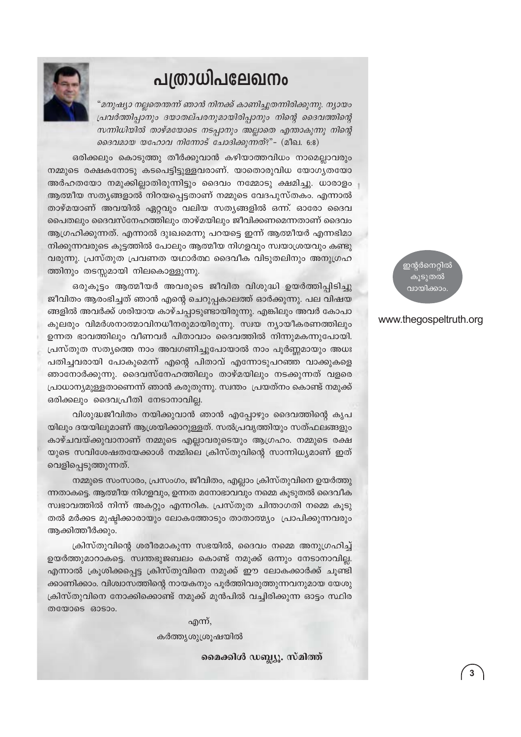## പത്രാധിപലേഖനം



"മനുഷ്യാ നല്ലതെന്തന്ന് ഞാൻ നിനക്ക് കാണിച്ചുതന്നിരിക്കുന്നു. ന്യായം പ്രവർത്തിപ്പാനും ദയാതല്പരനുമായിരിപ്പാനും നിന്റെ ദൈവത്തിന്റെ സന്നിധിയിൽ താഴ്മയോടെ നടപ്പാനും അല്ലാതെ എന്താകുന്നു നിന്റെ ദൈവമായ യഹോവ നിന്നോട് ചോദിക്കുന്നത്?"- (മീഖ. 6:8)

ഒരിക്കലും കൊടുത്തു തീർക്കുവാൻ കഴിയാത്തവിധം നാമെല്ലാവരും നമ്മുടെ രക്ഷകനോടു കടപെട്ടിട്ടുള്ളവരാണ്. യാതൊരുവിധ യോഗൃതയോ അർഹതയോ നമുക്കില്ലാതിരുന്നിട്ടും ദൈവം നമ്മോടു ക്ഷമിച്ചു. ധാരാളം ആത്മീയ സതൃങ്ങളാൽ നിറയപ്പെട്ടതാണ് നമ്മുടെ വേദപുസ്തകം. എന്നാൽ താഴ്മയാണ് അവയിൽ ഏറ്റവും വലിയ സത്യങ്ങളിൽ ഒന്ന്. ഓരോ ദൈവ പൈതലും ദൈവസ്നേഹത്തിലും താഴ്മയിലും ജീവിക്കണമെന്നതാണ് ദൈവം ആഗ്രഹിക്കുന്നത്. എന്നാൽ ദുഃഖമെന്നു പറയട്ടെ ഇന്ന് ആത്മീയർ എന്നഭിമാ നിക്കുന്നവരുടെ കുട്ടത്തിൽ പോലും ആത്മീയ നിഗളവും സ്വയാശ്രയവും കണ്ടു വരുന്നു. പ്രസ്തുത പ്രവണത യഥാർത്ഥ ദൈവീക വിടുതലിനും അനുഗ്രഹ ത്തിനും തടസ്സമായി നിലകൊള്ളുന്നു.

ഒരുകൂട്ടം ആത്മീയർ അവരുടെ ജീവിത വിശുദ്ധി ഉയർത്തിപ്പിടിച്ചു ജീവിതം ആരംഭിച്ചത് ഞാൻ എന്റെ ചെറുപ്പകാലത്ത് ഓർക്കുന്നു. പല വിഷയ ങ്ങളിൽ അവർക്ക് ശരിയായ കാഴ്ചപ്പാടുണ്ടായിരുന്നു. എങ്കിലും അവർ കോപാ കുലരും വിമർശനാത്മാവിനധീനരുമായിരുന്നു. സ്വയ ന്യായീകരണത്തിലും ഉന്നത ഭാവത്തിലും വീണവർ പിതാവാം ദൈവത്തിൽ നിന്നുമകന്നുപോയി. പ്രസ്തുത സത്യത്തെ നാം അവഗണിച്ചുപോയാൽ നാം പൂർണ്ണമായും അധഃ പതിച്ചവരായി പോകുമെന്ന് എന്റെ പിതാവ് എന്നോടുപറഞ്ഞ വാക്കുകളെ ഞാനോർക്കുന്നു. ദൈവസ്നേഹത്തിലും താഴ്മയിലും നടക്കുന്നത് വളരെ പ്രാധാന്യമുള്ളതാണെന്ന് ഞാൻ കരുതുന്നു. സ്വന്തം പ്രയത്നം കൊണ്ട് നമുക്ക് ഒരിക്കലും ദൈവപ്രീതി നേടാനാവില്ല.

വിശുദ്ധജീവിതം നയിക്കുവാൻ ഞാൻ എപ്പോഴും ദൈവത്തിന്റെ കൃപ യിലും ദയയിലുമാണ് ആശ്രയിക്കാറുള്ളത്. സൽപ്രവൃത്തിയും സത്ഫലങ്ങളും കാഴ്ചവയ്ക്കുവാനാണ് നമ്മുടെ എല്ലാവരുടെയും ആഗ്രഹം. നമ്മുടെ രക്ഷ യുടെ സവിശേഷതയേക്കാൾ നമ്മിലെ ക്രിസ്തുവിന്റെ സാന്നിധ്യമാണ് ഇത് വെളിപ്പെടുത്തുന്നത്.

നമ്മുടെ സംസാരം, പ്രസംഗം, ജീവിതം, എല്ലാം ക്രിസ്തുവിനെ ഉയർത്തു ന്നതാകട്ടെ. ആത്മീയ നിഗളവും, ഉന്നത മനോഭാവവും നമ്മെ കൂടുതൽ ദൈവീക സ്വഭാവത്തിൽ നിന്ന് അകറ്റും എന്നറിക. പ്രസ്തുത ചിന്താഗതി നമ്മെ കൂടു തൽ മർക്കട മുഷ്ടിക്കാരായും ലോകത്തോടും താതാത്മ്യം പ്രാപിക്കുന്നവരും ആക്കിത്തീർക്കും.

ക്രിസ്തുവിന്റെ ശരീരമാകുന്ന സഭയിൽ, ദൈവം നമ്മെ അനുഗ്രഹിച്ച് ഉയർത്തുമാറാകട്ടെ. സ്വന്തഭുജബലം കൊണ്ട് നമുക്ക് ഒന്നും നേടാനാവില്ല. എന്നാൽ ക്രൂശിക്കപ്പെട്ട ക്രിസ്തുവിനെ നമുക്ക് ഈ ലോകക്കാർക്ക് ചൂണ്ടി ക്കാണിക്കാം. വിശ്വാസത്തിന്റെ നായകനും പൂർത്തിവരുത്തുന്നവനുമായ യേശു ക്രിസ്തുവിനെ നോക്കിക്കൊണ്ട് നമുക്ക് മുൻപിൽ വച്ചിരിക്കുന്ന ഓട്ടം സ്ഥിര തയോടെ ഓടാം.

എന്ന്,

കർത്തൃശുശ്രൂഷയിൽ

മൈക്കിൾ ഡബ്ല്യൂ. സ്മിത്ത്

ഇന്റർനെറ്റിൽ കുടുതൽ വായിക്കാം

### www.thegospeltruth.org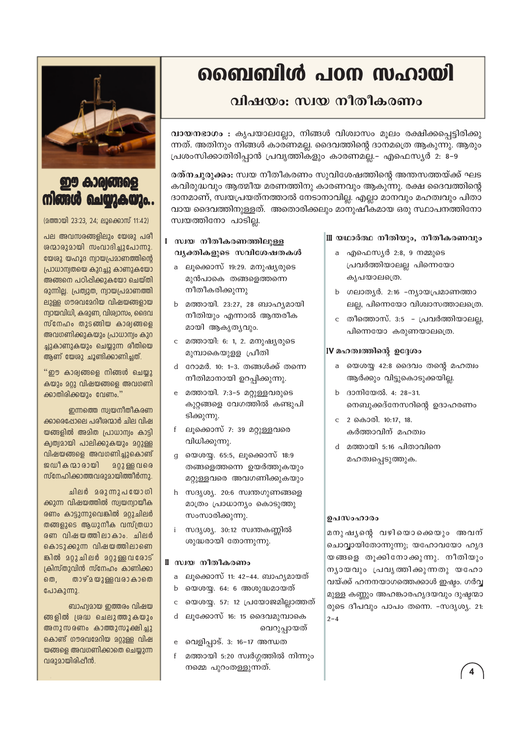## ബൈബിൾ പഠന സഹായി

### വിഷയം: സ്വയ നീതീകരണം

വായനഭാഗം : കൃപയാലല്ലോ, നിങ്ങൾ വിശ്വാസം മൂലം രക്ഷിക്കപ്പെട്ടിരിക്കു ന്നത്. അതിനും നിങ്ങൾ കാരണമല്ല. ദൈവത്തിന്റെ ദാനമത്രെ ആകുന്നു. ആരും പ്രശംസിക്കാതിരിപ്പാൻ പ്രവൃത്തികളും കാരണമല്ല.– എഫെസ്യർ 2: 8–9

രത്നചുരുക്കം: സ്വയ നീതീകരണം സുവിശേഷത്തിന്റെ അന്തസത്തയ്ക്ക് ഘട കവിരുദ്ധവും ആത്മീയ മരണത്തിനു കാരണവും ആകുന്നു. രക്ഷ ദൈവത്തിന്റെ ദാനമാണ്, സ്വയപ്രയത്നത്താൽ നേടാനാവില്ല. എല്ലാ മാനവും മഹത്വവും പിതാ വായ ദൈവത്തിനുള്ളത്. അതൊരിക്കലും മാനുഷീകമായ ഒരു സ്ഥാപനത്തിനോ സ്വയത്തിനോ പാടില്ല.

### I സ്വയ നീതീകരണത്തിലുള്ള വ്യക്തികളുടെ സവിശേഷതകൾ

- a ലൂക്കൊസ് 19:29. മനുഷ്യരുടെ മൂൻപാകെ തങ്ങളെത്തന്നെ നീതീകരിക്കുന്നു
- b മത്തായി. 23:27, 28 ബാഹ്യമായി നീതിയും എന്നാൽ ആന്തരീക മായി ആകൃതൃവും.
- c മത്തായി: 6: 1, 2, മനുഷ്യരുടെ മുമ്പാകെയുളള പ്രീതി
- d റോമർ. 10: 1-3. തങ്ങൾക്ക് തന്നെ നീതിമാനായി ഉറപ്പിക്കുന്നു.
- e മത്തായി. 7:3-5 മറ്റുള്ളവരുടെ കുറ്റങ്ങളെ വേഗത്തിൽ കണ്ടുപി ടിക്കുന്നു.
- f ലൂക്കൊസ് 7: 39 മറ്റുള്ളവരെ വിധിക്കുന്നു.
- g യെശയ്യ. 65:5, ലൂക്കൊസ് 18:9 തങ്ങളെത്തന്നെ ഉയർത്തുകയും മറ്റുള്ളവരെ അവഗണിക്കുകയും
- h സദൃശ്യ. 20:6 സ്വന്തഗുണങ്ങളെ മാത്രം പ്രാധാന്യം കൊടുത്തു സംസാരിക്കുന്നു.
- i സദൃശ്യ. 30:12 സ്വന്തകണ്ണിൽ ശുദ്ധരായി തോന്നുന്നു.

### ∥ സ്വയ നീതീകരണം

- a ലൂക്കൊസ് 11: 42–44. ബാഹൃമായത്
- b യെശയ്യ. 64: 6 അശുദ്ധമായത്
- c യെശയ്യ. 57: 12 പ്രയോജമില്ലാത്തത്
- ലുക്കോസ് 16: 15 ദൈവമുമ്പാകെ വെറുപ്പായത്
- e വെളിപ്പാട്. 3: 16-17 അന്ധത
- $f$ മത്തായി 5:20 സ്വർഗ്ഗത്തിൽ നിന്നും നമ്മെ പുറംതള്ളുന്നത്.

### Ⅲ യഥാർത്ഥ നീതിയും, നീതീകരണവും

- a എഫെസ്യർ 2:8, 9 നമ്മുടെ പ്രവർത്തിയാലല്ല പിന്നെയോ കൃപയാലത്രെ.
- b ഗലാതൃർ. 2:16 -നൃായപ്രമാണത്താ ലല്ല, പിന്നെയോ വിശ്വാസത്താലത്രെ.
- c തീത്തൊസ്. 3:5 *–* പ്രവർത്തിയാലല്ല, പിന്നെയോ കരുണയാലത്രെ.

### IV മഹത്വത്തിന്റെ ഉദ്ദേശം

- a യെശയ്യ 42:8 ദൈവം തന്റെ മഹത്വം ആർക്കും വിട്ടുകൊടുക്കയില്ല.
- b ദാനിയേൽ. 4: 28-31. നെബുക്കദ്നേസറിന്റെ ഉദാഹരണം
- c 2 കൊരി. 10:17, 18. കർത്താവിന് മഹത്വം
- d മത്തായി 5:16 പിതാവിനെ മഹത്വപ്പെടുത്തുക.

### ഉപസംഹാരം

മനുഷുനെ വഴിയൊക്കെയും അവന് ചൊവ്വായിതോന്നുന്നു; യഹോവയോ ഹൃദ യങ്ങളെ തൂക്കിനോക്കുന്നു. നീതിയും ന്യായവും പ്രവൃത്തിക്കുന്നതു യഹോ വയ്ക്ക് ഹനനയാഗത്തെക്കാൾ ഇഷ്ടം. ഗർവ്വ മുള്ള കണ്ണും അഹങ്കാരഹൃദയവും ദുഷ്ടന്മാ രുടെ ദീപവും പാപം തന്നെ. -സദൃശ്യ. 21:  $2 - 4$ 



### **ഈ കാര്യങ്ങ** നിങ്ങൾ ചെയ്യുകയും..

(മത്തായി 23:23, 24; ലൂക്കൊസ് 11:42)

പല അവസരങ്ങളിലും യേശു പരി ശന്മാരുമായി സംവാദിച്ചുപോന്നു. യേശു യഹൂദ ന്വായപ്രമാണത്തിന്റെ പ്രാധാന്വതയെ കുറച്ചു കാണുകയോ അങ്ങനെ പഠിപ്പിക്കുകയോ ചെയ്തി രുന്നില്ല. പ്രത്യുത, ന്യായപ്രമാണത്തി ലുള്ള ഗൗരവമേറിയ വിഷയങ്ങളായ ന്വായവിധി, കരുണ, വിശ്വാസം, ദൈവ സ്നേഹം തുടങ്ങിയ കാര്വങ്ങളെ അവഗണിക്കുകയും പ്രാധാന്വം കുറ ച്ചുകാണുകയും ചെയ്യുന്ന രീതിയെ ആണ് യേശു ചൂണ്ടിക്കാണിച്ചത്.

"ഈ കാര്വങ്ങളെ നിങ്ങൾ ചെയ്യു കയും മറ്റു വിഷയങ്ങളെ അവഗണി ക്കാതിരിക്കയും വേണം."

ഇന്നത്തെ സ്വയനീതീകരണ ക്കാരെപ്പോലെ പരീരന്മാർ ചില വിഷ യങ്ങളിൽ അമിത പ്രാധാന്വം കാട്ടി കൃത്വമായി പാലിക്കുകയും മറ്റുള്ള വിഷയങ്ങളെ അവഗണിച്ചുകൊണ്ട് ജഡീകന്മാരായി **202** ള്ള വരെ സ്നേഹിക്കാത്തവരുമായിത്തീർന്നു.

ചിലർ മരുന്നുപയോഗി ക്കുന്ന വിഷയത്തിൽ സ്വയന്വായിക രണം കാട്ടുന്നുവെങ്കിൽ മറ്റുചിലർ തങ്ങളുടെ ആധുനീക വസ്ത്രധാ രണ വിഷയത്തിലാകാം. ചിലർ കൊടുക്കുന്ന വിഷയത്തിലാണെ ങ്കിൽ മറ്റുചിലർ മറ്റുള്ളവരോട് ക്രിസ്തുവിൻ സ്നേഹം കാണിക്കാ  $00,$ താഴ് മയുള്ള വരാ കാതെ പോകുന്നു.

ബാഹ്വമായ ഇത്തരം വിഷയ ങ്ങളിൽ ശ്രദ്ധ ചെലുത്തുകയും അനുസരണം കാത്തുസൂക്ഷിച്ചു കൊണ്ട് ഗൗരവമേറിയ മറ്റുള്ള വിഷ യങ്ങളെ അവഗണിക്കാതെ ചെയ്യുന്ന വരുമായിരിപ്പീൻ.

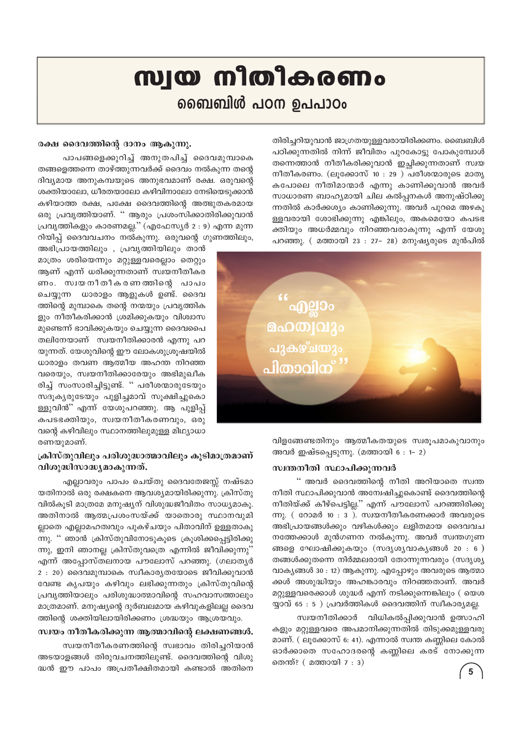## സ്വയ നിതികരണം வைவில் പഠന ഉപപാഠം

തിരിച്ചറിയുവാൻ ജാഗ്രതയുള്ളവരായിരിക്കണം. ബൈബിൾ പഠിക്കുന്നതിൽ നിന്ന് ജീവിതം പുറകോട്ടു പോകുമ്പോൾ തന്നെത്താൻ നീതീകരിക്കുവാൻ ഇച്ചിക്കുന്നതാണ് സ്വയ നീതീകരണം. (ലൂക്കോസ് 10 : 29 ) പരീശന്മാരുടെ മാതൃ കപോലെ നീതിമാന്മാർ എന്നു കാണിക്കുവാൻ അവർ സാധാരണ ബാഹ്യമായി ചില കൽപ്പനകൾ അനുഷ്ഠിക്കു ന്നതിൽ കാർക്കശ്യം കാണിക്കുന്നു. അവർ പുറമെ അഴകു ള്ളവരായി ശോഭിക്കുന്നു എങ്കിലും, അകമെയോ കപടഭ ക്തിയും അധർമ്മവും നിറഞ്ഞവരാകുന്നു എന്ന് യേശു പറഞ്ഞു. (മത്തായി 23 : 27- 28) മനുഷ്യരുടെ മുൻപിൽ



വിളങ്ങേണ്ടതിനും ആത്മീകതയുടെ സ്വരുപമാകുവാനും അവർ ഇഷ്ടപ്പെടുന്നു. (മത്തായി 6 : 1- 2)

### സ്വന്തനീതി സ്ഥാപിക്കുന്നവർ

'' അവർ ദൈവത്തിന്റെ നീതി അറിയാതെ സ്വന്ത നീതി സ്ഥാപിക്കുവാൻ അന്വേഷിച്ചുകൊണ്ട് ദൈവത്തിന്റെ നീതിയ്ക്ക് കീഴ്പെട്ടില്ല.'' എന്ന് പൗലോസ് പറഞ്ഞിരിക്കു ന്നു. ( $\cos \theta$  10 : 3). സ്വയനീതീകരണക്കാർ അവരുടെ അഭിപ്രായങ്ങൾക്കും വഴികൾക്കും ലളിതമായ ദൈവവച നത്തേക്കാൾ മുൻഗണന നൽകുന്നു. അവർ സ്വന്തഗുണ ങ്ങളെ ഘോഷിക്കുകയും (സദൃശൃവാകൃങ്ങൾ 20 : 6 ) തങ്ങൾക്കുതന്നെ നിർമ്മലരായി തോന്നുന്നവരും (സദൃശൃ വാകൃങ്ങൾ 30 : 12) ആകുന്നു. എപ്പോഴും അവരുടെ ആത്മാ ക്കൾ അശുദ്ധിയും അഹങ്കാരവും നിറഞ്ഞതാണ്. അവർ മറ്റുള്ളവരെക്കാൾ ശുദ്ധർ എന്ന് നടിക്കുന്നെങ്കിലും ( യെശ യ്യാവ് 65 : 5 ) പ്രവർത്തികൾ ദൈവത്തിന് സ്വീകാര്യമല്ല.

സ്വയനീതിക്കാർ വിധികൽപ്പിക്കുവാൻ ഉത്സാഹി കളും മറ്റുള്ളവരെ അപമാനിക്കുന്നതിൽ തിടുക്കമുള്ളവരു മാണ്. ( ലൂക്കോസ് 6: 41). എന്നാൽ സ്വന്ത കണ്ണിലെ കോൽ ഓർക്കാതെ സഹോദരന്റെ കണ്ണിലെ കരട് നോക്കുന്ന തെന്ത്? ( മത്തായി 7 : 3)

### രക്ഷ ദൈവത്തിന്റെ ദാനം ആകുന്നു.

പാപങ്ങളെക്കുറിച്ച് അനുതപിച്ച് ദൈവമുമ്പാകെ തങ്ങളെത്തന്നെ താഴ്ത്തുന്നവർക്ക് ദൈവം നൽകുന്ന തന്റെ ദിവ്യമായ അനുകമ്പയുടെ അനുഭവമാണ് രക്ഷ. ഒരുവന്റെ ശക്തിയാലോ, ധീരതയാലോ കഴിവിനാലോ നേടിയെടുക്കാൻ കഴിയാത്ത രക്ഷ, പക്ഷേ ദൈവത്തിന്റെ അത്ഭുതകരമായ ഒരു പ്രവൃത്തിയാണ്. '' ആരും പ്രശംസിക്കാതിരിക്കുവാൻ പ്രവൃത്തികളും കാരണമല്ല.'' (എഫേസ്യർ 2 : 9) എന്ന മുന്ന റിയിപ്പ് ദൈവവചനം നൽകുന്നു. ഒരുവന്റെ ഗുണത്തിലും,

അഭിപ്രായത്തിലും , പ്രവൃത്തിയിലും താൻ മാത്രം ശരിയെന്നും മറ്റുള്ളവരെല്ലാം തെറ്റും ആണ് എന്ന് ധരിക്കുന്നതാണ് സ്വയനീതീകര ണം. സ്വയനീതീകരണത്തിന്റെ പാപം ചെയ്യുന്ന ധാരാളം ആളുകൾ ഉണ്ട്. ദൈവ ത്തിന്റെ മുമ്പാകെ തന്റെ നന്മയും പ്രവൃത്തിക ളും നീതീകരിക്കാൻ ശ്രമിക്കുകയും വിശ്വാസ മുണ്ടെന്ന് ഭാവിക്കുകയും ചെയ്യുന്ന ദൈവപൈ തലിനേയാണ് സ്വയനീതിക്കാരൻ എന്നു പറ യുന്നത്. യേശുവിന്റെ ഈ ലോകശുശ്രൂഷയിൽ ധാരാളം തവണ ആത്മീയ അഹന്ത നിറഞ്ഞ വരെയും, സ്വയനീതിക്കാരേയും അഭിമുഖീക രിച്ച് സംസാരിച്ചിട്ടുണ്ട്. " പരീശന്മാരുടേയും സദൂകൃരുടേയും പുളിച്ചമാവ് സൂക്ഷിച്ചുകൊ ള്ളുവിൻ" എന്ന് യേശുപറഞ്ഞു. ആ പുളിപ്പ് കപടഭക്തിയും, സ്വയനീതീകരണവും, ഒരു വന്റെ കഴിവിലും സ്ഥാനത്തിലുമുള്ള മിഥ്യാധാ രണയുമാണ്.

### ക്രിസ്തുവിലും പരിശുദ്ധാത്മാവിലും കൂടിമാത്രമാണ് വിശുദ്ധിസാദ്ധ്യമാകുന്നത്.

എല്ലാവരും പാപം ചെയ്തു ദൈവതേജസ്സ് നഷ്ടമാ യതിനാൽ ഒരു രക്ഷകനെ ആവശ്യമായിരിക്കുന്നു. ക്രിസ്തു വിൽകുടി മാത്രമേ മനുഷ്യന് വിശുദ്ധജീവിതം സാധ്യമാകു. അതിനാൽ ആത്മപ്രശംസയ്ക്ക് യാതൊരു സ്ഥാനവുമി ല്ലാതെ എല്ലാമഹത്വവും പുകഴ്ചയും പിതാവിന് ഉള്ളതാകു ന്നു. '' ഞാൻ ക്രിസ്തുവിനോടുകൂടെ ക്രൂശിക്കപ്പെട്ടിരിക്കു ന്നു, ഇനി ഞാനല്ല ക്രിസ്തുവത്രെ എന്നിൽ ജീവിക്കുന്നു'' എന്ന് അപ്പോസ്തലനായ പൗലോസ് പറഞ്ഞു. (ഗലാതൃർ 2 : 20) ദൈവമുമ്പാകെ സ്ഥീകാര്യതയോടെ ജീവിക്കുവാൻ വേണ്ട കൃപയും കഴിവും ലഭിക്കുന്നതും ക്രിസ്തുവിന്റെ പ്രവൃത്തിയാലും പരിശുദ്ധാത്മാവിന്റെ സഹവാസത്താലും മാത്രമാണ്. മനുഷ്യന്റെ ദുർബലമായ കഴിവുകളിലല്ല ദൈവ ത്തിന്റെ ശക്തിയിലായിരിക്കണം ശ്രദ്ധയും ആശ്രയവും.

#### സ്വയം നീതീകരിക്കുന്ന ആത്മാവിന്റെ ലക്ഷണങ്ങൾ.

സ്വയനീതീകരണത്തിന്റെ സ്വഭാവം തിരിച്ചറിയാൻ അടയാളങ്ങൾ തിരുവചനത്തിലുണ്ട്. ദൈവത്തിന്റെ വിശു ദ്ധൻ ഈ പാപം അപ്രതീക്ഷിതമായി കണ്ടാൽ അതിനെ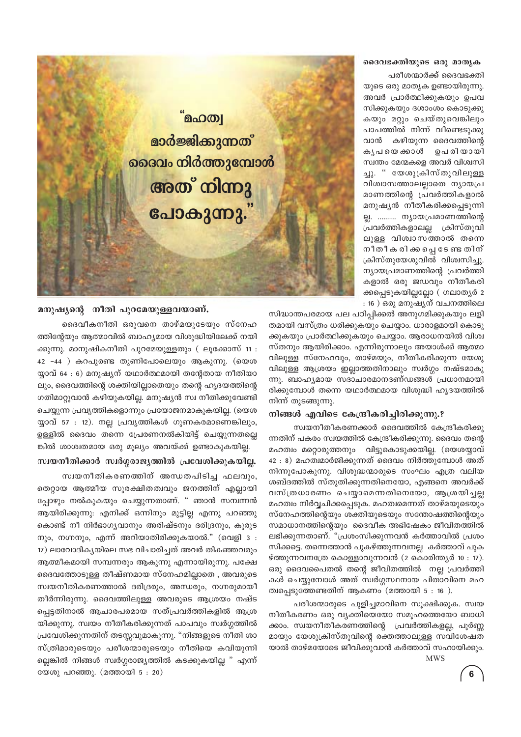### ദൈവഭക്തിയുടെ ഒരു മാതൃക

പരീശന്മാർക്ക് ദൈവഭക്തി യുടെ ഒരു മാതൃക ഉണ്ടായിരുന്നു. അവർ പ്രാർത്ഥിക്കുകയും ഉപവ സിക്കുകയും ദശാംശം കൊടുക്കു കയും മറ്റും ചെയ്തുവെങ്കിലും പാപത്തിൽ നിന്ന് വീണ്ടെടുക്കു വാൻ കഴിയുന്ന ദൈവത്തിന്റെ കൃപ യെ ക്കാൾ ഉപരിയായി സ്വന്തം മേന്മകളെ അവർ വിശ്വസി ച്ചു. " യേശുക്രിസ്തുവിലുള്ള വിശ്വാസത്താലല്ലാതെ ന്യായപ്ര മാണത്തിന്റെ പ്രവർത്തികളാൽ മനുഷ്യൻ നീതീകരിക്കപ്പെടുന്നി ല്ല. ......... ന്യായപ്രമാണത്തിന്റെ പ്രവർത്തികളാലല്ല ക്രിസ്തുവി ലുള്ള വിശ്വാസത്താൽ തന്നെ നീതീക രിക്കപ്പെടേണ്ട തിന് ക്രിസ്തുയേശുവിൽ വിശ്വസിച്ചു. ന്യായപ്രമാണത്തിന്റെ പ്രവർത്തി കളാൽ ഒരു ജഡവും നീതീകരി ക്കപ്പെടുകയില്ലല്ലോ (ഗലാതൃർ 2 : 16 ) ഒരു മനുഷ്യന് വചനത്തിലെ



സിദ്ധാന്തപരമായ പല പഠിപ്പിക്കൽ അനുഗമിക്കുകയും ലളി തമായി വസ്ത്രം ധരിക്കുകയും ചെയ്യാം. ധാരാളമായി കൊടു ക്കുകയും പ്രാർത്ഥിക്കുകയും ചെയ്യാം. ആരാധനയിൽ വിശ്വ സ്തനും ആയിരിക്കാം. എന്നിരുന്നാലും അയാൾക്ക് ആത്മാ വിലുള്ള സ്നേഹവും, താഴ്മയും, നീതീകരിക്കുന്ന യേശു വിലുള്ള ആശ്രയം ഇല്ലാത്തതിനാലും സ്ഥർഗ്ഗം നഷ്ടമാകു ന്നു. ബാഹ്യമായ സദാചാരമാനദണ്ഡങ്ങൾ പ്രധാനമായി രിക്കുമ്പോൾ തന്നെ യഥാർത്ഥമായ വിശുദ്ധി ഹൃദയത്തിൽ നിന്ന് തുടങ്ങുന്നു.

#### നിങ്ങൾ എവിടെ കേന്ദ്രീകരിച്ചിരിക്കുന്നു.?

സ്വയനീതീകരണക്കാർ ദൈവത്തിൽ കേന്ദ്രീകരിക്കു ന്നതിന് പകരം സ്വയത്തിൽ കേന്ദ്രീകരിക്കുന്നു. ദൈവം തന്റെ മഹത്വം മറ്റൊരുത്തനും വിട്ടുകൊടുക്കയില്ല. (യെശയ്യാവ് 42 : 8) മഹത്വമാർജിക്കുന്നത് ദൈവം നിർത്തുമ്പോൾ അത് നിന്നുപോകുന്നു. വിശുദ്ധന്മാരുടെ സംഘം എത്ര വലിയ ശബ്ദത്തിൽ സ്തുതിക്കുന്നതിനെയോ, എങ്ങനെ അവർക്ക് വസ്ത്രധാരണം ചെയ്യാമെന്നതിനെയോ, ആശ്രയിച്ചല്ല മഹത്വം നിർവ്വചിക്കപ്പെടുക. മഹത്വമെന്നത് താഴ്മയുടെയും സ്നേഹത്തിന്റെയും ശക്തിയുടെയും സന്തോഷത്തിന്റെയും സമാധാനത്തിന്റെയും ദൈവീക അഭിഷേകം ജീവിതത്തിൽ ലഭിക്കുന്നതാണ്. "പ്രശംസിക്കുന്നവൻ കർത്താവിൽ പ്രശം സിക്കട്ടെ. തന്നെത്താൻ പുകഴ്ത്തുന്നവനല്ല കർത്താവ് പുക ഴ്ത്തുന്നവനത്രേ കൊള്ളാവുന്നവൻ (2 കൊരിന്ത്യർ 10 : 17). ഒരു ദൈവപൈതൽ തന്റെ ജീവിതത്തിൽ നല്ല പ്രവർത്തി കൾ ചെയ്യുമ്പോൾ അത് സ്വർഗ്ഗസ്ഥനായ പിതാവിനെ മഹ ത്വപ്പെടുത്തേണ്ടതിന് ആകണം (മത്തായി  $5:16$  ).

പരീശന്മാരുടെ പുളിച്ചമാവിനെ സൂക്ഷിക്കുക. സ്വയ നീതീകരണം ഒരു വ്യക്തിയെയോ സമൂഹത്തെയോ ബാധി ക്കാം. സ്വയനീതീകരണത്തിന്റെ പ്രവർത്തികളല്ല, പൂർണ്ണ മായും യേശുക്രിസ്തുവിന്റെ രക്തത്താലുള്ള സവിശേഷത യാൽ താഴ്മയോടെ ജീവിക്കുവാൻ കർത്താവ് സഹായിക്കും.

### **MWS**

 $6<sup>6</sup>$ 

### മനുഷ്യന്റെ നീതി പുറമേയുള്ളവയാണ്.

ദൈവീകനീതി ഒരുവനെ താഴ്മയുടേയും സ്നേഹ ത്തിന്റേയും ആത്മാവിൽ ബാഹ്യമായ വിശുദ്ധിയിലേക്ക് നയി ക്കുന്നു. മാനുഷികനീതി പുറമേയുള്ളതും ( ലൂക്കോസ് 11 : 42 -44 ) കറപുരണ്ട തുണിപോലെയും ആകുന്നു. (യെശ യ്യാവ് 64 : 6) മനുഷ്യന് യഥാർത്ഥമായി തന്റേതായ നീതിയാ ലും, ദൈവത്തിന്റെ ശക്തിയില്ലാതെയും തന്റെ ഹൃദയത്തിന്റെ ഗതിമാറ്റുവാൻ കഴിയുകയില്ല. മനുഷ്യൻ സ്വ നീതിക്കുവേണ്ടി ചെയ്യുന്ന പ്രവൃത്തികളൊന്നും പ്രയോജനമാകുകയില്ല. (യെശ യ്യാവ് 57 : 12). നല്ല പ്രവൃത്തികൾ ഗുണകരമാണെങ്കിലും, ഉള്ളിൽ ദൈവം തന്നെ പ്രേരണനൽകിയിട്ട് ചെയ്യുന്നതല്ലെ ങ്കിൽ ശാശ്വതമായ ഒരു മൂല്യം അവയ്ക്ക് ഉണ്ടാകുകയില്ല.

സ്വയനീതിക്കാർ സ്വർഗ്ഗരാജ്യത്തിൽ പ്രവേശിക്കുകയില്ല.

സ്വയനീതികരണത്തിന് അന്ധതപിടിച്ച ഫലവും, തെറ്റായ ആത്മീയ സുരക്ഷിതത്വവും ജനത്തിന് എല്ലായി പ്പോഴും നൽകുകയും ചെയ്യുന്നതാണ്. " ഞാൻ സമ്പന്നൻ ആയിരിക്കുന്നു: എനിക്ക് ഒന്നിനും മുട്ടില്ല എന്നു പറഞ്ഞു കൊണ്ട് നീ നിർഭാഗ്യവാനും അരിഷ്ടനും ദരിദ്രനും, കൂരുട നും, നഗ്നനും, എന്ന് അറിയാതിരിക്കുകയാൽ." (വെളി 3 : 17) ലാവോദികൃയിലെ സഭ വിചാരിച്ചത് അവർ തികഞ്ഞവരും ആത്മീകമായി സമ്പന്നരും ആകുന്നു എന്നായിരുന്നു. പക്ഷേ ദൈവത്തോടുള്ള തീഷ്ണമായ സ്നേഹമില്ലാതെ , അവരുടെ സ്വയനീതികരണത്താൽ ദരിദ്രരും, അന്ധരും, നഗ്നരുമായീ തീർന്നിരുന്നു. ദൈവത്തിലുള്ള അവരുടെ ആശ്രയം നഷ്ട പ്പെട്ടതിനാൽ ആചാരപരമായ സത്പ്രവർത്തികളിൽ ആശ്ര യിക്കുന്നു. സ്വയം നീതീകരിക്കുന്നത് പാപവും സ്വർഗ്ഗത്തിൽ പ്രവേശിക്കുന്നതിന് തടസ്സവുമാകുന്നു. "നിങ്ങളുടെ നീതി ശാ സ്ത്രിമാരുടെയും പരീശന്മാരുടെയും നീതിയെ കവിയുന്നി ല്ലെങ്കിൽ നിങ്ങൾ സ്വർഗ്ഗരാജ്യത്തിൽ കടക്കുകയില്ല " എന്ന് യേശു പറഞ്ഞു. (മത്തായി 5 : 20)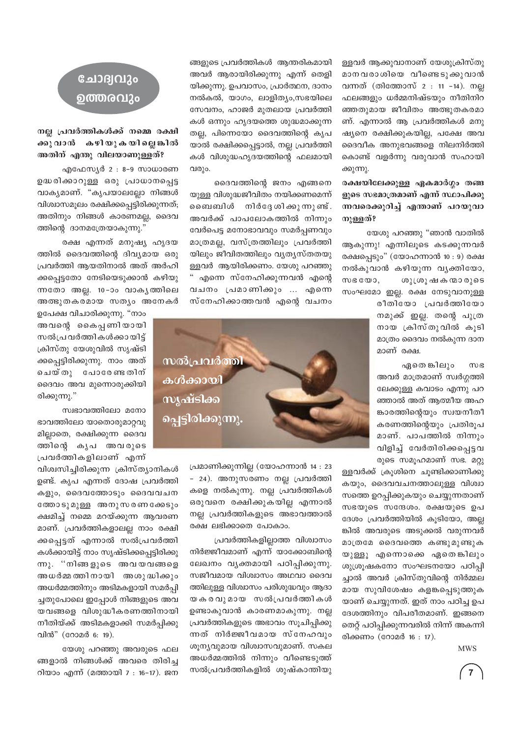ള്ളവർ ആക്കുവാനാണ് യേശുക്രിസ്തു മാനവരാശിയെ വീണ്ടെടുക്കുവാൻ വന്നത് (തിത്തോസ് 2 : 11 -14). നല ഫലങ്ങളും ധർമ്മനിഷ്ടയും നീതിനിറ ഞ്ഞതുമായ ജീവിതം അത്ഭുതകരമാ ണ്. എന്നാൽ ആ പ്രവർത്തികൾ മനു ഷ്യനെ രക്ഷിക്കുകയില്ല, പക്ഷേ അവ ദൈവീക അനുഭവങ്ങളെ നിലനിർത്തി കൊണ്ട് വളർന്നു വരുവാൻ സഹായി ക്കുന്നു.

### രക്ഷയിലേക്കുള്ള ഏകമാർഗ്ഗം തങ്ങ ളുടെ സഭമാത്രമാണ് എന്ന് സ്ഥാപിക്കു ന്നവരെക്കുറിച്ച് എന്താണ് പറയുവാ നുള്ളത്?

യേശു പറഞ്ഞു "ഞാൻ വാതിൽ ആകുന്നു! എന്നിലൂടെ കടക്കുന്നവർ രക്ഷപ്പെടും" (യോഹന്നാൻ 10 : 9) രക്ഷ നൽകുവാൻ കഴിയുന്ന വൃക്തിയോ,  $M \otimes C \otimes D$ ശുശ്രൂഷ കന്മാരുടെ സംഘമോ ഇല്ല. രക്ഷ നേടുവാനുള്ള രീതിയോ പ്രവർത്തിയോ

നമുക്ക് ഇല്ല. തന്റെ പുത്ര നായ ക്രിസ്തുവിൽ കൂടി മാത്രം ദൈവം നൽകുന്ന ദാന മാണ് രക്ഷ.

ഏതെ ങ്കിലും **MB** അവർ മാത്രമാണ് സ്വർഗ്ഗത്തി ലേക്കുള്ള കവാടം എന്നു പറ ഞ്ഞാൽ അത് ആത്മീയ അഹ ങ്കാരത്തിന്റെയും സ്വയനീതീ കരണത്തിന്റെയും പ്രതിരൂപ മാണ്. പാപത്തിൽ നിന്നും വിളിച്ച് വേർതിരിക്കപ്പെട്ടവ രുടെ സമൂഹമാണ് സഭ. മറ്റു

ള്ളവർക്ക് ക്രൂശിനെ ചൂണ്ടിക്കാണിക്കു കയും, ദൈവവചനത്താലുള്ള വിശ്വാ സത്തെ ഉറപ്പിക്കുകയും ചെയ്യുന്നതാണ് സഭയുടെ സന്ദേശം. രക്ഷയുടെ ഉപ ദേശം പ്രവർത്തിയിൽ കൂടിയോ, അല്ല ങ്കിൽ അവരുടെ അടുക്കൽ വരുന്നവർ മാത്രമേ ദൈവത്തെ കണ്ടുമുണ്ടുക യുള്ളൂ എന്നൊക്കെ ഏതെങ്കിലും ശുശ്രൂഷകനോ സംഘടനയോ പഠിപ്പി ച്ചാൽ അവർ ക്രിസ്തുവിന്റെ നിർമ്മല മായ സുവിശേഷം കളങ്കപ്പെടുത്തുക യാണ് ചെയ്യുന്നത്. ഇത് നാം പഠിച്ച ഉപ ദേശത്തിനും വിപരീതമാണ്. ഇങ്ങനെ തെറ്റ് പഠിപ്പിക്കുന്നവരിൽ നിന്ന് അകന്നി രിക്കണം (റോമർ 16: 17).

**MWS** 

 $\overline{7}$ 

ങ്ങളുടെ പ്രവർത്തികൾ ആന്തരികമായി അവർ ആരായിരിക്കുന്നു എന്ന് തെളി യിക്കുന്നു. ഉപവാസം, പ്രാർത്ഥന, ദാനം നൽകൽ, യാഗം, ലാളിത്യം,സഭയിലെ സേവനം, ഹാജർ മുതലായ പ്രവർത്തി കൾ ഒന്നും ഹൃദയത്തെ ശുദ്ധമാക്കുന്ന തല്ല, പിന്നെയോ ദൈവത്തിന്റെ കൃപ യാൽ രക്ഷിക്കപ്പെട്ടാൽ, നല്ല പ്രവർത്തി കൾ വിശുദ്ധഹൃദയത്തിന്റെ ഫലമായി വരും.

ദൈവത്തിന്റെ ജനം എങ്ങനെ യുള്ള വിശുദ്ധജീവിതം നയിക്കണമെന്ന് ബൈബിൾ നിർദേശിക്കുന്നുണ്ട്. അവർക്ക് പാപലോകത്തിൽ നിന്നും വേർപെട്ട മനോഭാവവും സമർപ്പണവും മാത്രമല്ല, വസ്ത്രത്തിലും പ്രവർത്തി യിലും ജീവിതത്തിലും വ്യത്യസ്തതയു ള്ളവർ ആയിരിക്കണം. യേശു പറഞ്ഞു " എന്നെ സ്നേഹിക്കുന്നവൻ എന്റെ വചനം പ്രമാണിക്കും ... എന്നെ സ്നേഹിക്കാത്തവൻ എന്റെ വചനം



പ്രമാണിക്കുന്നില്ല (യോഹന്നാൻ 14 : 23 - 24). അനുസരണം നല്ല പ്രവർത്തി കളെ നൽകുന്നു. നല്ല പ്രവർത്തികൾ ഒരുവനെ രക്ഷിക്കുകയില്ല എന്നാൽ നല്ല പ്രവർത്തികളുടെ അഭാവത്താൽ രക്ഷ ലഭിക്കാതെ പോകാം.

പ്രവർത്തികളില്ലാത്ത വിശ്വാസം നിർജ്ജീവമാണ് എന്ന് യാക്കോബിന്റെ ലേഖനം വ്യക്തമായി പഠിപ്പിക്കുന്നു. സജീവമായ വിശ്വാസം അഥവാ ദൈവ ത്തിലുള്ള വിശ്വാസം പരിശുദ്ധവും ആദാ യകരവുമായ സൽപ്രവർത്തികൾ ഉണ്ടാകുവാൻ കാരണമാകുന്നു. നല്ല പ്രവർത്തികളുടെ അഭാവം സൂചിപ്പിക്കു ന്നത് നിർജ്ജീവമായ സ്നേഹവും ശുന്യവുമായ വിശ്വാസവുമാണ്. സകല അധർമ്മത്തിൽ നിന്നും വീണ്ടെടുത്ത് സൽപ്രവർത്തികളിൽ ശുഷ്കാന്തിയു

## ചോദ്വവും ഉത്തരവും

### നല്ല പ്രവർത്തികൾക്ക് നമ്മെ രക്ഷി ക്കുവാൻ കഴിയുകയില്ലെങ്കിൽ അതിന് എന്തു വിലയാണുള്ളത്?

എഫേസ്യർ 2 : 8-9 സാധാരണ ഉദ്ധരിക്കാറുള്ള ഒരു പ്രാധാനപ്പെട്ട വാകൃമാണ്. "കൃപയാലല്ലോ നിങ്ങൾ വിശ്വാസമൂലം രക്ഷിക്കപ്പെട്ടിരിക്കുന്നത്; അതിനും നിങ്ങൾ കാരണമല്ല, ദൈവ ത്തിന്റെ ദാനമത്രേയാകുന്നു."

രക്ഷ എന്നത് മനുഷ്യ ഹൃദയ ത്തിൽ ദൈവത്തിന്റെ ദിവ്യമായ ഒരു പ്രവർത്തി അയതിനാൽ അത് അർഹി ക്കപ്പെട്ടതോ നേടിയെടുക്കാൻ കഴിയു ന്നതോ അല്ല. 10-ാം വാകൃത്തിലെ അത്ഭുതകരമായ സത്യം അനേകർ

ഉപേക്ഷ വിചാരിക്കുന്നു. "നാം അവന്റെ കൈപ്പണിയായി സൽപ്രവർത്തികൾക്കായിട് ക്രിസ്തു യേശുവിൽ സൃഷ്ടി ക്കപ്പെട്ടിരിക്കുന്നു. നാം അത് ചെയ്തു പോരേണ്ടതിന് ദൈവം അവ മുന്നൊരുക്കിയി രിക്കുന്നു."

സ്വഭാവത്തിലോ മനോ ഭാവത്തിലോ യാതൊരുമാറ്റവു മില്ലാതെ, രക്ഷിക്കുന്ന ദൈവ ത്തിന്റെ കൃപ അവരുടെ പ്രവർത്തികളിലാണ് എന്ന്

വിശ്വസിച്ചിരിക്കുന്ന ക്രിസ്ത്യാനികൾ ഉണ്ട്. കൃപ എന്നത് ദോഷ പ്രവർത്തി കളും, ദൈവത്തോടും ദൈവവചന ത്തോടുമുള്ള അനുസരണക്കേടും ക്ഷമിച്ച് നമ്മെ മറയ്ക്കുന്ന ആവരണ മാണ്. പ്രവർത്തികളാലല്ല നാം രക്ഷി ക്കപ്പെട്ടത് എന്നാൽ സൽപ്രവർത്തി കൾക്കായിട്ട് നാം സൃഷ്ടിക്കപ്പെട്ടിരിക്കു ന്നു. "നിങ്ങളുടെ അവയവങ്ങളെ അധർമ്മത്തിനായി അശുദ്ധിക്കും അധർമ്മത്തിനും അടിമകളായി സമർപ്പി ച്ചതുപോലെ ഇപ്പോൾ നിങ്ങളുടെ അവ യവങ്ങളെ വിശുദ്ധീകരണത്തിനായി നീതിയ്ക്ക് അടിമകളാക്കി സമർപ്പിക്കു വിൻ" (റോമർ 6: 19).

യേശു പറഞ്ഞു അവരുടെ ഫല ങ്ങളാൽ നിങ്ങൾക്ക് അവരെ തിരിച റിയാം എന്ന് (മത്തായി 7 : 16-17). ജന